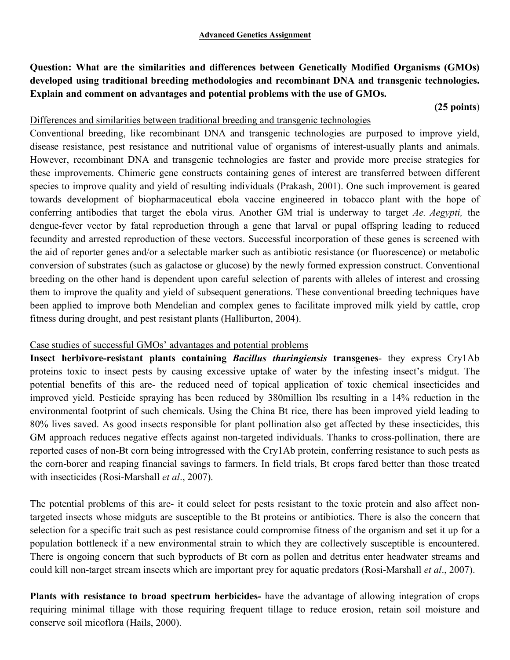**Question: What are the similarities and differences between Genetically Modified Organisms (GMOs) developed using traditional breeding methodologies and recombinant DNA and transgenic technologies. Explain and comment on advantages and potential problems with the use of GMOs.**

#### **(25 points**)

## Differences and similarities between traditional breeding and transgenic technologies

Conventional breeding, like recombinant DNA and transgenic technologies are purposed to improve yield, disease resistance, pest resistance and nutritional value of organisms of interest-usually plants and animals. However, recombinant DNA and transgenic technologies are faster and provide more precise strategies for these improvements. Chimeric gene constructs containing genes of interest are transferred between different species to improve quality and yield of resulting individuals (Prakash, 2001). One such improvement is geared towards development of biopharmaceutical ebola vaccine engineered in tobacco plant with the hope of conferring antibodies that target the ebola virus. Another GM trial is underway to target *Ae. Aegypti,* the dengue-fever vector by fatal reproduction through a gene that larval or pupal offspring leading to reduced fecundity and arrested reproduction of these vectors. Successful incorporation of these genes is screened with the aid of reporter genes and/or a selectable marker such as antibiotic resistance (or fluorescence) or metabolic conversion of substrates (such as galactose or glucose) by the newly formed expression construct. Conventional breeding on the other hand is dependent upon careful selection of parents with alleles of interest and crossing them to improve the quality and yield of subsequent generations. These conventional breeding techniques have been applied to improve both Mendelian and complex genes to facilitate improved milk yield by cattle, crop fitness during drought, and pest resistant plants (Halliburton, 2004).

# Case studies of successful GMOs' advantages and potential problems

**Insect herbivore-resistant plants containing** *Bacillus thuringiensis* **transgenes**- they express Cry1Ab proteins toxic to insect pests by causing excessive uptake of water by the infesting insect's midgut. The potential benefits of this are- the reduced need of topical application of toxic chemical insecticides and improved yield. Pesticide spraying has been reduced by 380million lbs resulting in a 14% reduction in the environmental footprint of such chemicals. Using the China Bt rice, there has been improved yield leading to 80% lives saved. As good insects responsible for plant pollination also get affected by these insecticides, this GM approach reduces negative effects against non-targeted individuals. Thanks to cross-pollination, there are reported cases of non-Bt corn being introgressed with the Cry1Ab protein, conferring resistance to such pests as the corn-borer and reaping financial savings to farmers. In field trials, Bt crops fared better than those treated with insecticides (Rosi-Marshall *et al*., 2007).

The potential problems of this are- it could select for pests resistant to the toxic protein and also affect nontargeted insects whose midguts are susceptible to the Bt proteins or antibiotics. There is also the concern that selection for a specific trait such as pest resistance could compromise fitness of the organism and set it up for a population bottleneck if a new environmental strain to which they are collectively susceptible is encountered. There is ongoing concern that such byproducts of Bt corn as pollen and detritus enter headwater streams and could kill non-target stream insects which are important prey for aquatic predators (Rosi-Marshall *et al*., 2007).

**Plants with resistance to broad spectrum herbicides-** have the advantage of allowing integration of crops requiring minimal tillage with those requiring frequent tillage to reduce erosion, retain soil moisture and conserve soil micoflora (Hails, 2000).